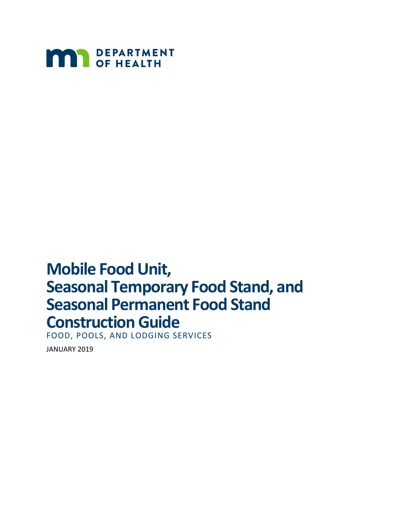

# **Mobile Food Unit, Seasonal Temporary Food Stand, and Seasonal Permanent Food Stand Construction Guide**

FOOD, POOLS, AND LODGING SERVICES

JANUARY 2019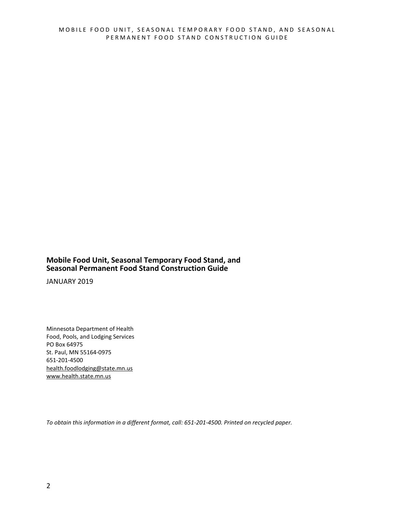#### **Mobile Food Unit, Seasonal Temporary Food Stand, and Seasonal Permanent Food Stand Construction Guide**

JANUARY 2019

Minnesota Department of Health Food, Pools, and Lodging Services PO Box 64975 St. Paul, MN 55164-0975 651-201-4500 health.foodlodging@state.mn.us [www.health.state.mn.us](http://www.health.state.mn.us/)

*To obtain this information in a different format, call: 651-201-4500. Printed on recycled paper.*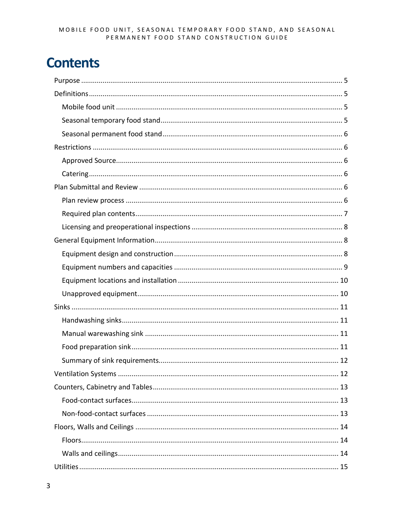# **Contents**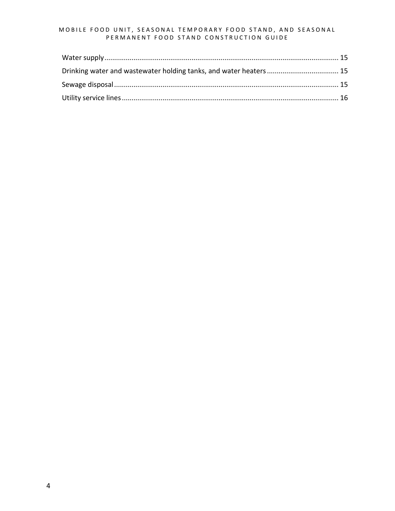#### MOBILE FOOD UNIT, SEASONAL TEMPORARY FOOD STAND, AND SEASONAL PERMANENT FOOD STAND CONSTRUCTION GUIDE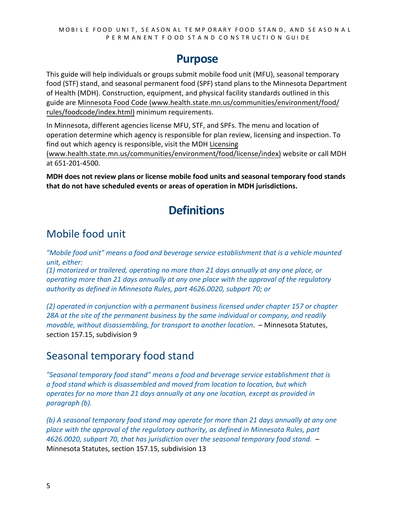#### **Purpose**

<span id="page-4-0"></span>This guide will help individuals or groups submit mobile food unit (MFU), seasonal temporary food (STF) stand, and seasonal permanent food (SPF) stand plans to the Minnesota Department of Health (MDH). Construction, equipment, and physical facility standards outlined in this guide are Minnesota Food Code (www.health.state.mn.us/[communities/environment](http://www.health.state.mn.us/communities/environment/food/rules/foodcode/index.html)/food/ rules/foodcode/index.html) minimum requirements.

In Minnesota, different agencies license MFU, STF, and SPFs. The menu and location of operation determine which agency is responsible for plan review, licensing and inspection. To find out which agency is responsible, visit the MDH [Licensing](http://www.health.state.mn.us/communities/environment/food/license/index.html) 

(www.health.state.mn.us/[communities/environment](http://www.health.state.mn.us/communities/environment/food/license/index.html)/food/license/index) website or call MDH at 651-201-4500.

<span id="page-4-1"></span>**MDH does not review plans or license mobile food units and seasonal temporary food stands that do not have scheduled events or areas of operation in MDH jurisdictions.** 

### **Definitions**

### <span id="page-4-2"></span>Mobile food unit

*"Mobile food unit" means a food and beverage service establishment that is a vehicle mounted unit, either:* 

*(1) motorized or trailered, operating no more than 21 days annually at any one place, or operating more than 21 days annually at any one place with the approval of the regulatory authority as defined in Minnesota Rules, part 4626.0020, subpart 70; or*

*(2) operated in conjunction with a permanent business licensed under chapter 157 or chapter 28A at the site of the permanent business by the same individual or company, and readily movable, without disassembling, for transport to another location*. – Minnesota Statutes, section 157.15, subdivision 9

#### <span id="page-4-3"></span>Seasonal temporary food stand

*"Seasonal temporary food stand" means a food and beverage service establishment that is a food stand which is disassembled and moved from location to location, but which operates for no more than 21 days annually at any one location, except as provided in paragraph (b).* 

*(b) A seasonal temporary food stand may operate for more than 21 days annually at any one place with the approval of the regulatory authority, as defined in Minnesota Rules, part 4626.0020, subpart 70, that has jurisdiction over the seasonal temporary food stand.* – Minnesota Statutes, section 157.15, subdivision 13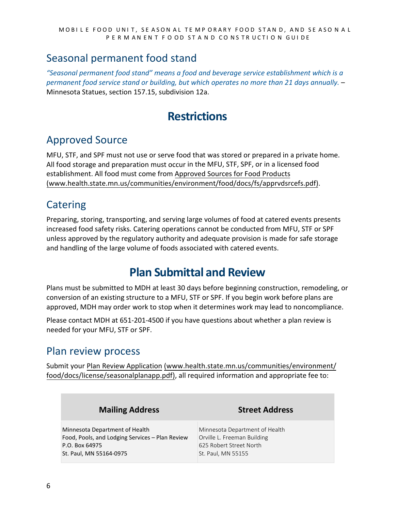#### <span id="page-5-0"></span>Seasonal permanent food stand

<span id="page-5-1"></span>*"Seasonal permanent food stand" means a food and beverage service establishment which is a permanent food service stand or building, but which operates no more than 21 days annually.* – Minnesota Statues, section 157.15, subdivision 12a.

### **Restrictions**

#### <span id="page-5-2"></span>Approved Source

MFU, STF, and SPF must not use or serve food that was stored or prepared in a private home. All food storage and preparation must occur in the MFU, STF, SPF, or in a licensed food establishment. All food must come from Approved [Sources for Food Products](http://www.health.state.mn.us/communities/environment/food/docs/fs/apprvdsrcefs.pdf) (www.health.state.mn.us/[communities/environment](http://www.health.state.mn.us/communities/environment/food/docs/fs/apprvdsrcefs.pdf)/food/docs/fs/apprvdsrcefs.pdf).

#### <span id="page-5-3"></span>Catering

Preparing, storing, transporting, and serving large volumes of food at catered events presents increased food safety risks. Catering operations cannot be conducted from MFU, STF or SPF unless approved by the regulatory authority and adequate provision is made for safe storage and handling of the large volume of foods associated with catered events.

### **Plan Submittal and Review**

<span id="page-5-4"></span>Plans must be submitted to MDH at least 30 days before beginning construction, remodeling, or conversion of an existing structure to a MFU, STF or SPF. If you begin work before plans are approved, MDH may order work to stop when it determines work may lead to noncompliance.

Please contact MDH at 651-201-4500 if you have questions about whether a plan review is needed for your MFU, STF or SPF.

#### <span id="page-5-5"></span>Plan review process

Submit your Plan Review Application (www.health.state.mn.us/[communities/environment](http://www.health.state.mn.us/communities/environment/food/docs/license/seasonalplanapp.pdf)/ food/docs[/license/seasonalplanapp.pdf\),](http://www.health.state.mn.us/communities/environment/food/docs/license/seasonalplanapp.pdf) all required information and appropriate fee to:

| <b>Mailing Address</b>                          | <b>Street Address</b>          |  |
|-------------------------------------------------|--------------------------------|--|
| Minnesota Department of Health                  | Minnesota Department of Health |  |
| Food, Pools, and Lodging Services - Plan Review | Orville L. Freeman Building    |  |
| P.O. Box 64975                                  | 625 Robert Street North        |  |
| St. Paul, MN 55164-0975                         | St. Paul, MN 55155             |  |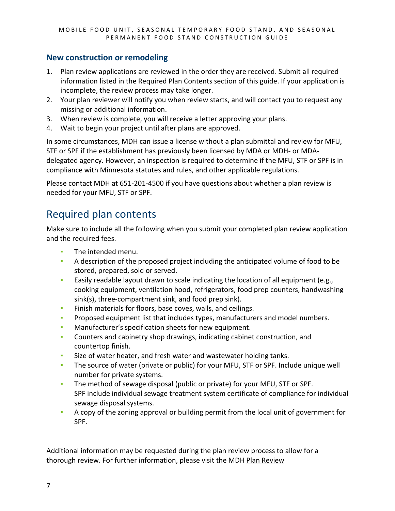#### **New construction or remodeling**

- 1. Plan review applications are reviewed in the order they are received. Submit all required information listed in the Required Plan Contents section of this guide. If your application is incomplete, the review process may take longer.
- 2. Your plan reviewer will notify you when review starts, and will contact you to request any missing or additional information.
- 3. When review is complete, you will receive a letter approving your plans.
- 4. Wait to begin your project until after plans are approved.

In some circumstances, MDH can issue a license without a plan submittal and review for MFU, STF or SPF if the establishment has previously been licensed by MDA or MDH- or MDAdelegated agency. However, an inspection is required to determine if the MFU, STF or SPF is in compliance with Minnesota statutes and rules, and other applicable regulations.

Please contact MDH at 651-201-4500 if you have questions about whether a plan review is needed for your MFU, STF or SPF.

#### <span id="page-6-0"></span>Required plan contents

Make sure to include all the following when you submit your completed plan review application and the required fees.

- The intended menu.
- A description of the proposed project including the anticipated volume of food to be stored, prepared, sold or served.
- **Easily readable layout drawn to scale indicating the location of all equipment (e.g.,** cooking equipment, ventilation hood, refrigerators, food prep counters, handwashing sink(s), three-compartment sink, and food prep sink).
- Finish materials for floors, base coves, walls, and ceilings.
- **•** Proposed equipment list that includes types, manufacturers and model numbers.
- Manufacturer's specification sheets for new equipment.
- **•** Counters and cabinetry shop drawings, indicating cabinet construction, and countertop finish.
- Size of water heater, and fresh water and wastewater holding tanks.
- **The source of water (private or public) for your MFU, STF or SPF. Include unique well** number for private systems.
- **The method of sewage disposal (public or private) for your MFU, STF or SPF.** SPF include individual sewage treatment system certificate of compliance for individual sewage disposal systems.
- A copy of the zoning approval or building permit from the local unit of government for SPF.

Additional information may be requested during the plan review process to allow for a thorough review. For further information, please visit the MDH Plan Review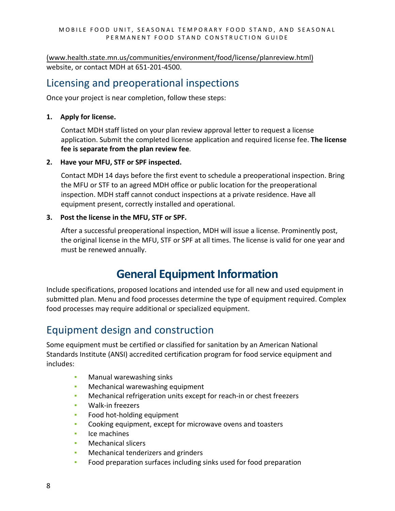(www.health.state.mn.us/communities/environment[/food/license/planreview.html\)](http://www.health.state.mn.us/communities/environment/food/license/planreview.html) website, or contact MDH at 651-201-4500.

#### <span id="page-7-0"></span>Licensing and preoperational inspections

Once your project is near completion, follow these steps:

#### **1. Apply for license.**

Contact MDH staff listed on your plan review approval letter to request a license application. Submit the completed license application and required license fee. **The license fee is separate from the plan review fee**.

#### **2. Have your MFU, STF or SPF inspected.**

Contact MDH 14 days before the first event to schedule a preoperational inspection. Bring the MFU or STF to an agreed MDH office or public location for the preoperational inspection. MDH staff cannot conduct inspections at a private residence. Have all equipment present, correctly installed and operational.

#### **3. Post the license in the MFU, STF or SPF.**

After a successful preoperational inspection, MDH will issue a license. Prominently post, the original license in the MFU, STF or SPF at all times. The license is valid for one year and must be renewed annually.

### **General Equipment Information**

<span id="page-7-1"></span>Include specifications, proposed locations and intended use for all new and used equipment in submitted plan. Menu and food processes determine the type of equipment required. Complex food processes may require additional or specialized equipment.

#### <span id="page-7-2"></span>Equipment design and construction

Some equipment must be certified or classified for sanitation by an American National Standards Institute (ANSI) accredited certification program for food service equipment and includes:

- Manual warewashing sinks
- **EXEDEN** Mechanical warewashing equipment
- **Mechanical refrigeration units except for reach-in or chest freezers**
- Walk-in freezers
- Food hot-holding equipment
- Cooking equipment, except for microwave ovens and toasters
- Ice machines
- Mechanical slicers
- Mechanical tenderizers and grinders
- Food preparation surfaces including sinks used for food preparation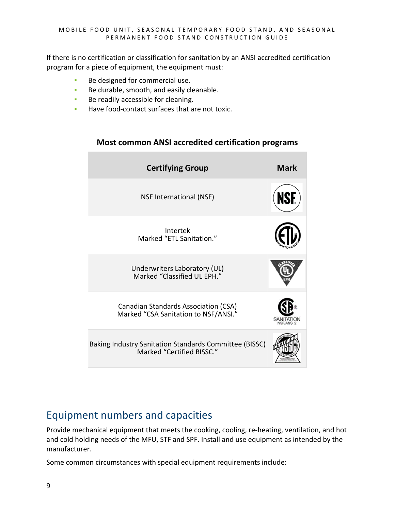If there is no certification or classification for sanitation by an ANSI accredited certification program for a piece of equipment, the equipment must:

- Be designed for commercial use.
- Be durable, smooth, and easily cleanable.
- **Be readily accessible for cleaning.**
- Have food-contact surfaces that are not toxic.

# **Certifying Group Mark** NSF International (NSF) Intertek Marked "ETL Sanitation." Underwriters Laboratory (UL) Marked "Classified UL EPH." Canadian Standards Association (CSA) Marked "CSA Sanitation to NSF/ANSI." Baking Industry Sanitation Standards Committee (BISSC) Marked "Certified BISSC."

#### **Most common ANSI accredited certification programs**

#### <span id="page-8-0"></span>Equipment numbers and capacities

Provide mechanical equipment that meets the cooking, cooling, re-heating, ventilation, and hot and cold holding needs of the MFU, STF and SPF. Install and use equipment as intended by the manufacturer.

Some common circumstances with special equipment requirements include: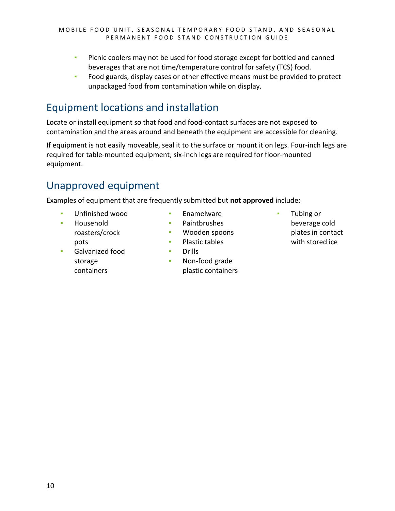- **•** Picnic coolers may not be used for food storage except for bottled and canned beverages that are not time/temperature control for safety (TCS) food.
- **•** Food guards, display cases or other effective means must be provided to protect unpackaged food from contamination while on display.

### <span id="page-9-0"></span>Equipment locations and installation

Locate or install equipment so that food and food-contact surfaces are not exposed to contamination and the areas around and beneath the equipment are accessible for cleaning.

If equipment is not easily moveable, seal it to the surface or mount it on legs. Four-inch legs are required for table-mounted equipment; six-inch legs are required for floor-mounted equipment.

### <span id="page-9-1"></span>Unapproved equipment

Examples of equipment that are frequently submitted but **not approved** include:

- Unfinished wood
- Household roasters/crock pots
- Galvanized food storage containers
- Enamelware
- Paintbrushes
- Wooden spoons
- Plastic tables
- Drills
- Non-food grade plastic containers
- Tubing or beverage cold plates in contact with stored ice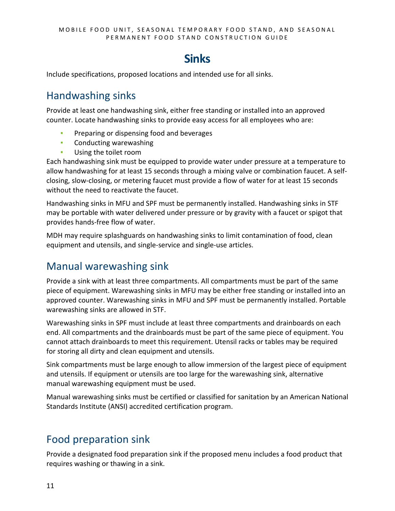### **Sinks**

<span id="page-10-0"></span>Include specifications, proposed locations and intended use for all sinks.

#### <span id="page-10-1"></span>Handwashing sinks

Provide at least one handwashing sink, either free standing or installed into an approved counter. Locate handwashing sinks to provide easy access for all employees who are:

- **•** Preparing or dispensing food and beverages
- Conducting warewashing
- **•** Using the toilet room

Each handwashing sink must be equipped to provide water under pressure at a temperature to allow handwashing for at least 15 seconds through a mixing valve or combination faucet. A selfclosing, slow-closing, or metering faucet must provide a flow of water for at least 15 seconds without the need to reactivate the faucet.

Handwashing sinks in MFU and SPF must be permanently installed. Handwashing sinks in STF may be portable with water delivered under pressure or by gravity with a faucet or spigot that provides hands-free flow of water.

MDH may require splashguards on handwashing sinks to limit contamination of food, clean equipment and utensils, and single-service and single-use articles.

#### <span id="page-10-2"></span>Manual warewashing sink

Provide a sink with at least three compartments. All compartments must be part of the same piece of equipment. Warewashing sinks in MFU may be either free standing or installed into an approved counter. Warewashing sinks in MFU and SPF must be permanently installed. Portable warewashing sinks are allowed in STF.

Warewashing sinks in SPF must include at least three compartments and drainboards on each end. All compartments and the drainboards must be part of the same piece of equipment. You cannot attach drainboards to meet this requirement. Utensil racks or tables may be required for storing all dirty and clean equipment and utensils.

Sink compartments must be large enough to allow immersion of the largest piece of equipment and utensils. If equipment or utensils are too large for the warewashing sink, alternative manual warewashing equipment must be used.

Manual warewashing sinks must be certified or classified for sanitation by an American National Standards Institute (ANSI) accredited certification program.

#### <span id="page-10-3"></span>Food preparation sink

Provide a designated food preparation sink if the proposed menu includes a food product that requires washing or thawing in a sink.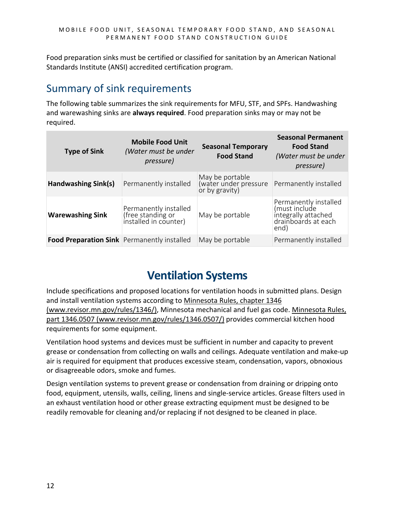Food preparation sinks must be certified or classified for sanitation by an American National Standards Institute (ANSI) accredited certification program.

#### <span id="page-11-0"></span>Summary of sink requirements

The following table summarizes the sink requirements for MFU, STF, and SPFs. Handwashing and warewashing sinks are **always required**. Food preparation sinks may or may not be required.

| <b>Type of Sink</b>                         | <b>Mobile Food Unit</b><br>(Water must be under<br>pressure)        | <b>Seasonal Temporary</b><br><b>Food Stand</b>             | <b>Seasonal Permanent</b><br><b>Food Stand</b><br>(Water must be under<br>pressure)          |
|---------------------------------------------|---------------------------------------------------------------------|------------------------------------------------------------|----------------------------------------------------------------------------------------------|
| Handwashing Sink(s)                         | Permanently installed                                               | May be portable<br>(water under pressure<br>or by gravity) | Permanently installed                                                                        |
| <b>Warewashing Sink</b>                     | Permanently installed<br>(free standing or<br>installed in counter) | May be portable                                            | Permanently installed<br>(must include<br>integrally attached<br>drainboards at each<br>end) |
| Food Preparation Sink Permanently installed |                                                                     | May be portable                                            | Permanently installed                                                                        |

## **Ventilation Systems**

<span id="page-11-1"></span>Include specifications and proposed locations for ventilation hoods in submitted plans. Design and install ventilation systems according to [Minnesota Rules, chapter 1346](https://www.revisor.mn.gov/rules/1346/)  [\(www.revisor.mn.gov/rules/1346/\),](https://www.revisor.mn.gov/rules/1346/) Minnesota mechanical and fuel gas code. [Minnesota Rules,](https://www.revisor.mn.gov/rules/1346.0507/)  [part 1346.0507 \(www.revisor.mn.gov/rules/1346.0507/\)](https://www.revisor.mn.gov/rules/1346.0507/) provides commercial kitchen hood requirements for some equipment.

Ventilation hood systems and devices must be sufficient in number and capacity to prevent grease or condensation from collecting on walls and ceilings. Adequate ventilation and make-up air is required for equipment that produces excessive steam, condensation, vapors, obnoxious or disagreeable odors, smoke and fumes.

Design ventilation systems to prevent grease or condensation from draining or dripping onto food, equipment, utensils, walls, ceiling, linens and single-service articles. Grease filters used in an exhaust ventilation hood or other grease extracting equipment must be designed to be readily removable for cleaning and/or replacing if not designed to be cleaned in place.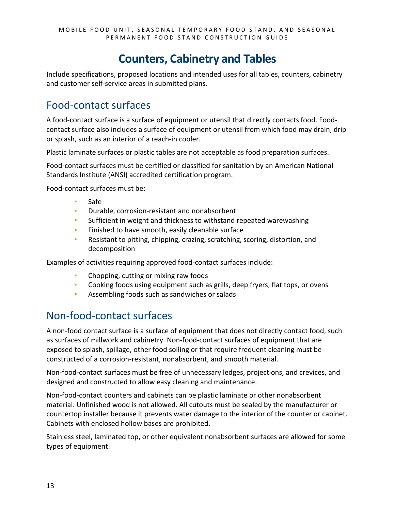#### **Counters, Cabinetry and Tables**

<span id="page-12-0"></span>Include specifications, proposed locations and intended uses for all tables, counters, cabinetry and customer self-service areas in submitted plans.

#### <span id="page-12-1"></span>Food-contact surfaces

A food-contact surface is a surface of equipment or utensil that directly contacts food. Foodcontact surface also includes a surface of equipment or utensil from which food may drain, drip or splash, such as an interior of a reach-in cooler.

Plastic laminate surfaces or plastic tables are not acceptable as food preparation surfaces.

Food-contact surfaces must be certified or classified for sanitation by an American National Standards Institute (ANSI) accredited certification program.

Food-contact surfaces must be:

- Safe
- **•** Durable, corrosion-resistant and nonabsorbent
- Sufficient in weight and thickness to withstand repeated warewashing
- **EXECTE:** Finished to have smooth, easily cleanable surface
- Resistant to pitting, chipping, crazing, scratching, scoring, distortion, and decomposition

Examples of activities requiring approved food-contact surfaces include:

- **•** Chopping, cutting or mixing raw foods
- **EXEDENT FOOD EXECTS COOLD THE COOLD FIGUREY** COOKing foods using equipment such as grills, deep fryers, flat tops, or ovens
- Assembling foods such as sandwiches or salads

#### <span id="page-12-2"></span>Non-food-contact surfaces

A non-food contact surface is a surface of equipment that does not directly contact food, such as surfaces of millwork and cabinetry. Non-food-contact surfaces of equipment that are exposed to splash, spillage, other food soiling or that require frequent cleaning must be constructed of a corrosion-resistant, nonabsorbent, and smooth material.

Non-food-contact surfaces must be free of unnecessary ledges, projections, and crevices, and designed and constructed to allow easy cleaning and maintenance.

Non-food-contact counters and cabinets can be plastic laminate or other nonabsorbent material. Unfinished wood is not allowed. All cutouts must be sealed by the manufacturer or countertop installer because it prevents water damage to the interior of the counter or cabinet. Cabinets with enclosed hollow bases are prohibited.

Stainless steel, laminated top, or other equivalent nonabsorbent surfaces are allowed for some types of equipment.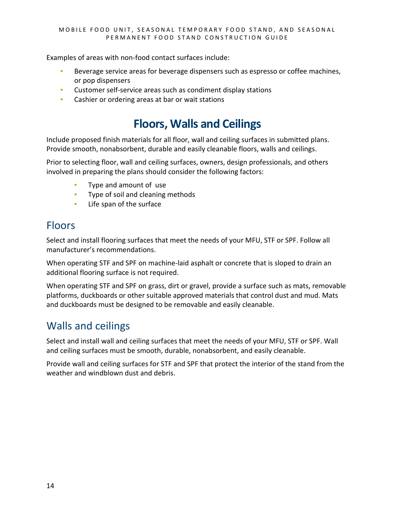Examples of areas with non-food contact surfaces include:

- **EXECTE AT A BEVEROUS EXECTE 2018** Beverage dispensers such as espresso or coffee machines, or pop dispensers
- Customer self-service areas such as condiment display stations
- <span id="page-13-0"></span>**• Cashier or ordering areas at bar or wait stations**

#### **Floors, Walls and Ceilings**

Include proposed finish materials for all floor, wall and ceiling surfaces in submitted plans. Provide smooth, nonabsorbent, durable and easily cleanable floors, walls and ceilings.

Prior to selecting floor, wall and ceiling surfaces, owners, design professionals, and others involved in preparing the plans should consider the following factors:

- Type and amount of use
- **•** Type of soil and cleaning methods
- **EXEC** Life span of the surface

#### <span id="page-13-1"></span>Floors

Select and install flooring surfaces that meet the needs of your MFU, STF or SPF. Follow all manufacturer's recommendations.

When operating STF and SPF on machine-laid asphalt or concrete that is sloped to drain an additional flooring surface is not required.

When operating STF and SPF on grass, dirt or gravel, provide a surface such as mats, removable platforms, duckboards or other suitable approved materials that control dust and mud. Mats and duckboards must be designed to be removable and easily cleanable.

#### <span id="page-13-2"></span>Walls and ceilings

Select and install wall and ceiling surfaces that meet the needs of your MFU, STF or SPF. Wall and ceiling surfaces must be smooth, durable, nonabsorbent, and easily cleanable.

Provide wall and ceiling surfaces for STF and SPF that protect the interior of the stand from the weather and windblown dust and debris.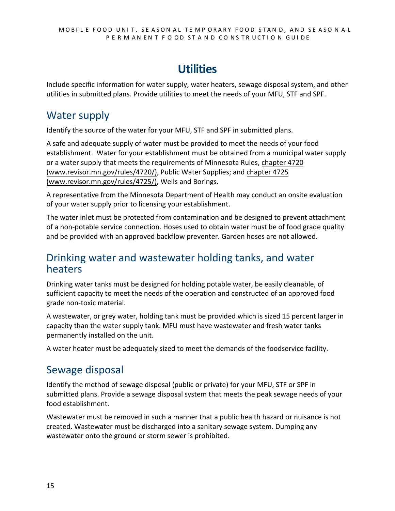### **Utilities**

<span id="page-14-0"></span>Include specific information for water supply, water heaters, sewage disposal system, and other utilities in submitted plans. Provide utilities to meet the needs of your MFU, STF and SPF.

#### <span id="page-14-1"></span>Water supply

Identify the source of the water for your MFU, STF and SPF in submitted plans.

A safe and adequate supply of water must be provided to meet the needs of your food establishment. Water for your establishment must be obtained from a municipal water supply or a water supply that meets the requirements of Minnesota Rules, [chapter 4720](http://www.revisor.mn.gov/rules/4720/)  [\(www.revisor.mn.gov/rules/4720](http://www.revisor.mn.gov/rules/4720/)/), Public Water Supplies; and [chapter 4725](https://www.revisor.mn.gov/rules/4725/)  [\(www.revisor.mn.gov/rules/4725/\),](https://www.revisor.mn.gov/rules/4725/) Wells and Borings.

A representative from the Minnesota Department of Health may conduct an onsite evaluation of your water supply prior to licensing your establishment.

The water inlet must be protected from contamination and be designed to prevent attachment of a non-potable service connection. Hoses used to obtain water must be of food grade quality and be provided with an approved backflow preventer. Garden hoses are not allowed.

#### <span id="page-14-2"></span>Drinking water and wastewater holding tanks, and water heaters

Drinking water tanks must be designed for holding potable water, be easily cleanable, of sufficient capacity to meet the needs of the operation and constructed of an approved food grade non-toxic material.

A wastewater, or grey water, holding tank must be provided which is sized 15 percent larger in capacity than the water supply tank. MFU must have wastewater and fresh water tanks permanently installed on the unit.

A water heater must be adequately sized to meet the demands of the foodservice facility.

#### <span id="page-14-3"></span>Sewage disposal

Identify the method of sewage disposal (public or private) for your MFU, STF or SPF in submitted plans. Provide a sewage disposal system that meets the peak sewage needs of your food establishment.

Wastewater must be removed in such a manner that a public health hazard or nuisance is not created. Wastewater must be discharged into a sanitary sewage system. Dumping any wastewater onto the ground or storm sewer is prohibited.